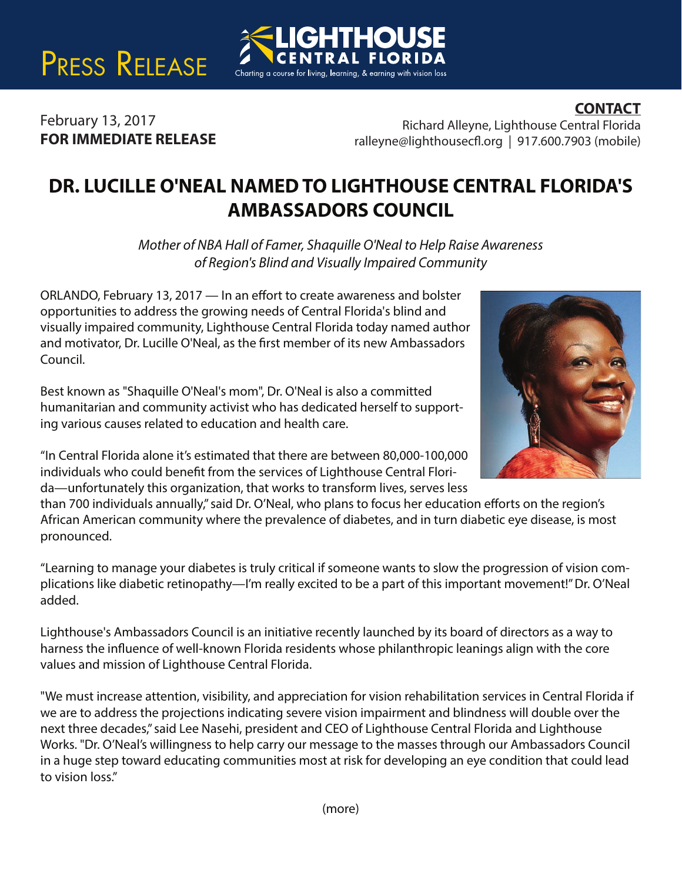

**CONTACT**

February 13, 2017 **FOR IMMEDIATE RELEASE**

Richard Alleyne, Lighthouse Central Florida ralleyne@lighthousecfl.org | 917.600.7903 (mobile)

## **DR. LUCILLE O'NEAL NAMED TO LIGHTHOUSE CENTRAL FLORIDA'S AMBASSADORS COUNCIL**

Charting a course for living, learning, & earning with vision loss

**IHOL** 

*Mother of NBA Hall of Famer, Shaquille O'Neal to Help Raise Awareness of Region's Blind and Visually Impaired Community*

ORLANDO, February 13, 2017 — In an effort to create awareness and bolster opportunities to address the growing needs of Central Florida's blind and visually impaired community, Lighthouse Central Florida today named author and motivator, Dr. Lucille O'Neal, as the first member of its new Ambassadors Council.

Best known as "Shaquille O'Neal's mom", Dr. O'Neal is also a committed humanitarian and community activist who has dedicated herself to supporting various causes related to education and health care.



"In Central Florida alone it's estimated that there are between 80,000-100,000 individuals who could benefit from the services of Lighthouse Central Florida—unfortunately this organization, that works to transform lives, serves less

than 700 individuals annually," said Dr. O'Neal, who plans to focus her education efforts on the region's African American community where the prevalence of diabetes, and in turn diabetic eye disease, is most pronounced.

"Learning to manage your diabetes is truly critical if someone wants to slow the progression of vision complications like diabetic retinopathy—I'm really excited to be a part of this important movement!" Dr. O'Neal added.

Lighthouse's Ambassadors Council is an initiative recently launched by its board of directors as a way to harness the influence of well-known Florida residents whose philanthropic leanings align with the core values and mission of Lighthouse Central Florida.

"We must increase attention, visibility, and appreciation for vision rehabilitation services in Central Florida if we are to address the projections indicating severe vision impairment and blindness will double over the next three decades," said Lee Nasehi, president and CEO of Lighthouse Central Florida and Lighthouse Works. "Dr. O'Neal's willingness to help carry our message to the masses through our Ambassadors Council in a huge step toward educating communities most at risk for developing an eye condition that could lead to vision loss."